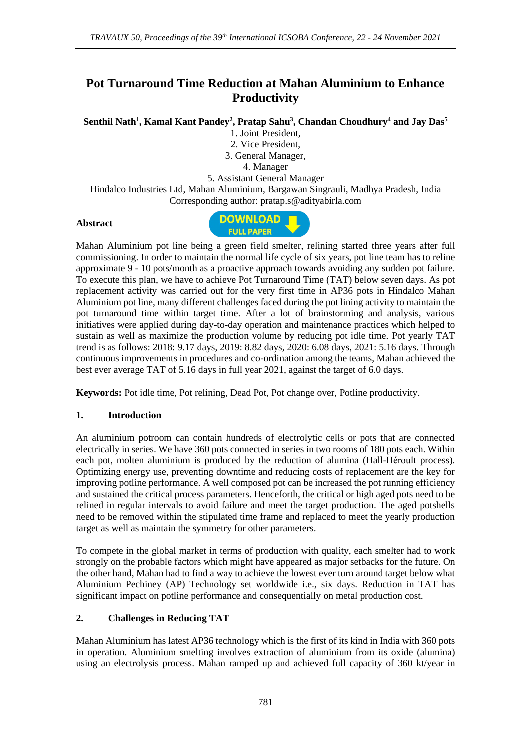# **Pot Turnaround Time Reduction at Mahan Aluminium to Enhance Productivity**

**Senthil Nath<sup>1</sup> , Kamal Kant Pandey<sup>2</sup> , Pratap Sahu<sup>3</sup> , Chandan Choudhury<sup>4</sup> and Jay Das<sup>5</sup>**

1. Joint President, 2. Vice President, 3. General Manager, 4. Manager

5. Assistant General Manager

Hindalco Industries Ltd, Mahan Aluminium, Bargawan Singrauli, Madhya Pradesh, India Corresponding author: pratap.s@adityabirla.com

#### **Abstract**



Mahan Aluminium pot line being a green field smelter, relining started three years after full commissioning. In order to maintain the normal life cycle of six years, pot line team has to reline approximate 9 - 10 pots/month as a proactive approach towards avoiding any sudden pot failure. To execute this plan, we have to achieve Pot Turnaround Time (TAT) below seven days. As pot replacement activity was carried out for the very first time in AP36 pots in Hindalco Mahan Aluminium pot line, many different challenges faced during the pot lining activity to maintain the pot turnaround time within target time. After a lot of brainstorming and analysis, various initiatives were applied during day-to-day operation and maintenance practices which helped to sustain as well as maximize the production volume by reducing pot idle time. Pot yearly TAT trend is as follows: 2018: 9.17 days, 2019: 8.82 days, 2020: 6.08 days, 2021: 5.16 days. Through continuous improvements in procedures and co-ordination among the teams, Mahan achieved the best ever average TAT of 5.16 days in full year 2021, against the target of 6.0 days.

**Keywords:** Pot idle time, Pot relining, Dead Pot, Pot change over, Potline productivity.

### **1. Introduction**

An aluminium potroom can contain hundreds of electrolytic cells or pots that are connected electrically in series. We have 360 pots connected in series in two rooms of 180 pots each. Within each pot, molten aluminium is produced by the reduction of alumina (Hall-Héroult process). Optimizing energy use, preventing downtime and reducing costs of replacement are the key for improving potline performance. A well composed pot can be increased the pot running efficiency and sustained the critical process parameters. Henceforth, the critical or high aged pots need to be relined in regular intervals to avoid failure and meet the target production. The aged potshells need to be removed within the stipulated time frame and replaced to meet the yearly production target as well as maintain the symmetry for other parameters.

To compete in the global market in terms of production with quality, each smelter had to work strongly on the probable factors which might have appeared as major setbacks for the future. On the other hand, Mahan had to find a way to achieve the lowest ever turn around target below what Aluminium Pechiney (AP) Technology set worldwide i.e., six days. Reduction in TAT has significant impact on potline performance and consequentially on metal production cost.

### **2. Challenges in Reducing TAT**

Mahan Aluminium has latest AP36 technology which is the first of its kind in India with 360 pots in operation. Aluminium smelting involves extraction of aluminium from its oxide (alumina) using an electrolysis process. Mahan ramped up and achieved full capacity of 360 kt/year in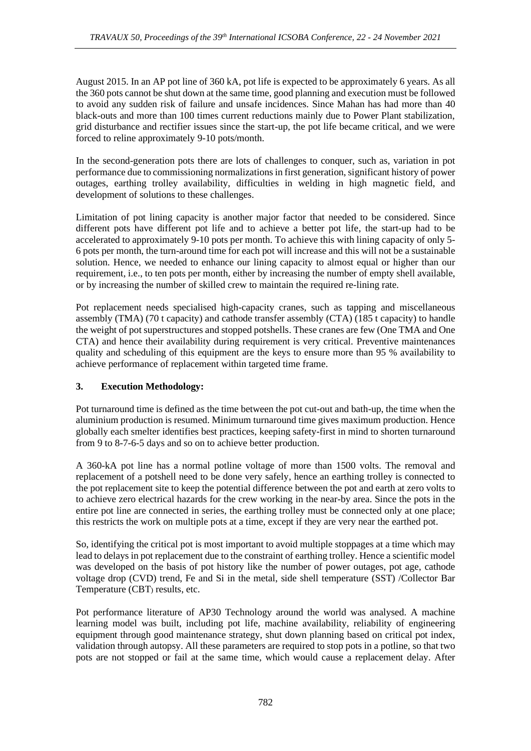August 2015. In an AP pot line of 360 kA, pot life is expected to be approximately 6 years. As all the 360 pots cannot be shut down at the same time, good planning and execution must be followed to avoid any sudden risk of failure and unsafe incidences. Since Mahan has had more than 40 black-outs and more than 100 times current reductions mainly due to Power Plant stabilization, grid disturbance and rectifier issues since the start-up, the pot life became critical, and we were forced to reline approximately 9-10 pots/month.

In the second-generation pots there are lots of challenges to conquer, such as, variation in pot performance due to commissioning normalizations in first generation, significant history of power outages, earthing trolley availability, difficulties in welding in high magnetic field, and development of solutions to these challenges.

Limitation of pot lining capacity is another major factor that needed to be considered. Since different pots have different pot life and to achieve a better pot life, the start-up had to be accelerated to approximately 9-10 pots per month. To achieve this with lining capacity of only 5- 6 pots per month, the turn-around time for each pot will increase and this will not be a sustainable solution. Hence, we needed to enhance our lining capacity to almost equal or higher than our requirement, i.e., to ten pots per month, either by increasing the number of empty shell available, or by increasing the number of skilled crew to maintain the required re-lining rate.

Pot replacement needs specialised high-capacity cranes, such as tapping and miscellaneous assembly (TMA) (70 t capacity) and cathode transfer assembly (CTA) (185 t capacity) to handle the weight of pot superstructures and stopped potshells. These cranes are few (One TMA and One CTA) and hence their availability during requirement is very critical. Preventive maintenances quality and scheduling of this equipment are the keys to ensure more than 95 % availability to achieve performance of replacement within targeted time frame.

## **3. Execution Methodology:**

Pot turnaround time is defined as the time between the pot cut-out and bath-up, the time when the aluminium production is resumed. Minimum turnaround time gives maximum production. Hence globally each smelter identifies best practices, keeping safety-first in mind to shorten turnaround from 9 to 8-7-6-5 days and so on to achieve better production.

A 360-kA pot line has a normal potline voltage of more than 1500 volts. The removal and replacement of a potshell need to be done very safely, hence an earthing trolley is connected to the pot replacement site to keep the potential difference between the pot and earth at zero volts to to achieve zero electrical hazards for the crew working in the near-by area. Since the pots in the entire pot line are connected in series, the earthing trolley must be connected only at one place; this restricts the work on multiple pots at a time, except if they are very near the earthed pot.

So, identifying the critical pot is most important to avoid multiple stoppages at a time which may lead to delays in pot replacement due to the constraint of earthing trolley. Hence a scientific model was developed on the basis of pot history like the number of power outages, pot age, cathode voltage drop (CVD) trend, Fe and Si in the metal, side shell temperature (SST) /Collector Bar Temperature (CBT) results, etc.

Pot performance literature of AP30 Technology around the world was analysed. A machine learning model was built, including pot life, machine availability, reliability of engineering equipment through good maintenance strategy, shut down planning based on critical pot index, validation through autopsy. All these parameters are required to stop pots in a potline, so that two pots are not stopped or fail at the same time, which would cause a replacement delay. After